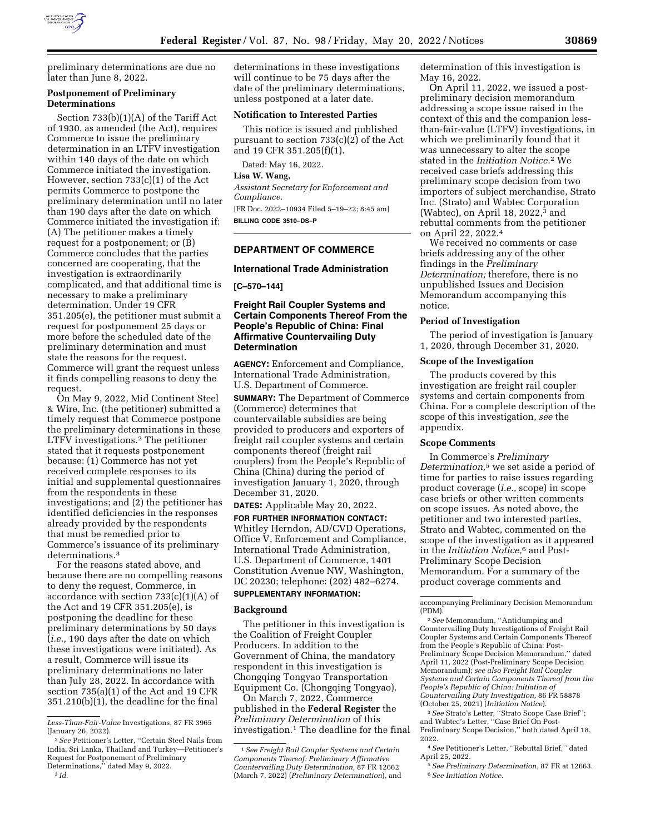

preliminary determinations are due no later than June 8, 2022.

### **Postponement of Preliminary Determinations**

Section 733(b)(1)(A) of the Tariff Act of 1930, as amended (the Act), requires Commerce to issue the preliminary determination in an LTFV investigation within 140 days of the date on which Commerce initiated the investigation. However, section 733(c)(1) of the Act permits Commerce to postpone the preliminary determination until no later than 190 days after the date on which Commerce initiated the investigation if: (A) The petitioner makes a timely request for a postponement; or (B) Commerce concludes that the parties concerned are cooperating, that the investigation is extraordinarily complicated, and that additional time is necessary to make a preliminary determination. Under 19 CFR 351.205(e), the petitioner must submit a request for postponement 25 days or more before the scheduled date of the preliminary determination and must state the reasons for the request. Commerce will grant the request unless it finds compelling reasons to deny the request.

On May 9, 2022, Mid Continent Steel & Wire, Inc. (the petitioner) submitted a timely request that Commerce postpone the preliminary determinations in these LTFV investigations.2 The petitioner stated that it requests postponement because: (1) Commerce has not yet received complete responses to its initial and supplemental questionnaires from the respondents in these investigations; and (2) the petitioner has identified deficiencies in the responses already provided by the respondents that must be remedied prior to Commerce's issuance of its preliminary determinations.3

For the reasons stated above, and because there are no compelling reasons to deny the request, Commerce, in accordance with section 733(c)(1)(A) of the Act and 19 CFR 351.205(e), is postponing the deadline for these preliminary determinations by 50 days (*i.e.,* 190 days after the date on which these investigations were initiated). As a result, Commerce will issue its preliminary determinations no later than July 28, 2022. In accordance with section 735(a)(1) of the Act and 19 CFR 351.210(b)(1), the deadline for the final

determinations in these investigations will continue to be 75 days after the date of the preliminary determinations, unless postponed at a later date.

#### **Notification to Interested Parties**

This notice is issued and published pursuant to section 733(c)(2) of the Act and 19 CFR 351.205(f)(1).

Dated: May 16, 2022.

**Lisa W. Wang,** 

*Assistant Secretary for Enforcement and Compliance.*  [FR Doc. 2022–10934 Filed 5–19–22; 8:45 am]

```
BILLING CODE 3510–DS–P
```
## **DEPARTMENT OF COMMERCE**

#### **International Trade Administration**

**[C–570–144]** 

## **Freight Rail Coupler Systems and Certain Components Thereof From the People's Republic of China: Final Affirmative Countervailing Duty Determination**

**AGENCY:** Enforcement and Compliance, International Trade Administration, U.S. Department of Commerce.

**SUMMARY:** The Department of Commerce (Commerce) determines that countervailable subsidies are being provided to producers and exporters of freight rail coupler systems and certain components thereof (freight rail couplers) from the People's Republic of China (China) during the period of investigation January 1, 2020, through December 31, 2020.

**DATES:** Applicable May 20, 2022.

**FOR FURTHER INFORMATION CONTACT:**  Whitley Herndon, AD/CVD Operations, Office V, Enforcement and Compliance, International Trade Administration, U.S. Department of Commerce, 1401 Constitution Avenue NW, Washington, DC 20230; telephone: (202) 482–6274.

#### **SUPPLEMENTARY INFORMATION:**

#### **Background**

The petitioner in this investigation is the Coalition of Freight Coupler Producers. In addition to the Government of China, the mandatory respondent in this investigation is Chongqing Tongyao Transportation Equipment Co. (Chongqing Tongyao).

On March 7, 2022, Commerce published in the **Federal Register** the *Preliminary Determination* of this investigation.1 The deadline for the final determination of this investigation is May 16, 2022.

On April 11, 2022, we issued a postpreliminary decision memorandum addressing a scope issue raised in the context of this and the companion lessthan-fair-value (LTFV) investigations, in which we preliminarily found that it was unnecessary to alter the scope stated in the *Initiation Notice.*2 We received case briefs addressing this preliminary scope decision from two importers of subject merchandise, Strato Inc. (Strato) and Wabtec Corporation (Wabtec), on April 18, 2022, $3$  and rebuttal comments from the petitioner on April 22, 2022.4

We received no comments or case briefs addressing any of the other findings in the *Preliminary Determination;* therefore, there is no unpublished Issues and Decision Memorandum accompanying this notice.

#### **Period of Investigation**

The period of investigation is January 1, 2020, through December 31, 2020.

#### **Scope of the Investigation**

The products covered by this investigation are freight rail coupler systems and certain components from China. For a complete description of the scope of this investigation, *see* the appendix.

#### **Scope Comments**

In Commerce's *Preliminary Determination,*5 we set aside a period of time for parties to raise issues regarding product coverage (*i.e.,* scope) in scope case briefs or other written comments on scope issues. As noted above, the petitioner and two interested parties, Strato and Wabtec, commented on the scope of the investigation as it appeared in the *Initiation Notice,*6 and Post-Preliminary Scope Decision Memorandum. For a summary of the product coverage comments and

3*See* Strato's Letter, ''Strato Scope Case Brief''; and Wabtec's Letter, ''Case Brief On Post-Preliminary Scope Decision,'' both dated April 18, 2022.

4*See* Petitioner's Letter, ''Rebuttal Brief,'' dated April 25, 2022.

*Less-Than-Fair-Value* Investigations, 87 FR 3965 (January 26, 2022).

<sup>2</sup>*See* Petitioner's Letter, ''Certain Steel Nails from India, Sri Lanka, Thailand and Turkey—Petitioner's Request for Postponement of Preliminary Determinations,'' dated May 9, 2022.

<sup>3</sup> *Id.* 

<sup>1</sup>*See Freight Rail Coupler Systems and Certain Components Thereof: Preliminary Affirmative Countervailing Duty Determination,* 87 FR 12662 (March 7, 2022) (*Preliminary Determination*), and

accompanying Preliminary Decision Memorandum (PDM).

<sup>2</sup>*See* Memorandum, ''Antidumping and Countervailing Duty Investigations of Freight Rail Coupler Systems and Certain Components Thereof from the People's Republic of China: Post-Preliminary Scope Decision Memorandum,'' dated April 11, 2022 (Post-Preliminary Scope Decision Memorandum); *see also Freight Rail Coupler Systems and Certain Components Thereof from the People's Republic of China: Initiation of Countervailing Duty Investigation,* 86 FR 58878 (October 25, 2021) (*Initiation Notice*).

<sup>5</sup>*See Preliminary Determination,* 87 FR at 12663. 6*See Initiation Notice.*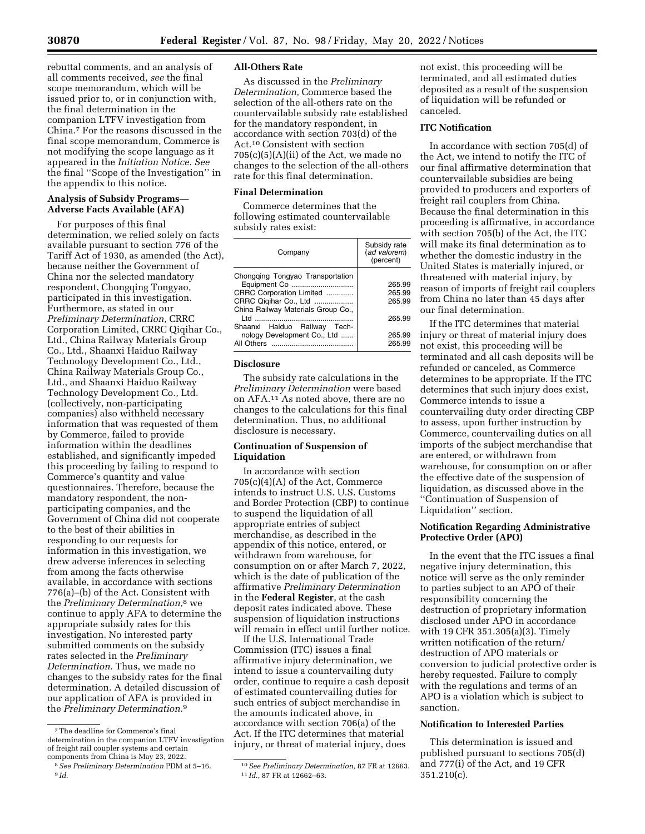rebuttal comments, and an analysis of all comments received, *see* the final scope memorandum, which will be issued prior to, or in conjunction with, the final determination in the companion LTFV investigation from China.7 For the reasons discussed in the final scope memorandum, Commerce is not modifying the scope language as it appeared in the *Initiation Notice. See*  the final ''Scope of the Investigation'' in the appendix to this notice.

## **Analysis of Subsidy Programs— Adverse Facts Available (AFA)**

For purposes of this final determination, we relied solely on facts available pursuant to section 776 of the Tariff Act of 1930, as amended (the Act), because neither the Government of China nor the selected mandatory respondent, Chongqing Tongyao, participated in this investigation. Furthermore, as stated in our *Preliminary Determination,* CRRC Corporation Limited, CRRC Qiqihar Co., Ltd., China Railway Materials Group Co., Ltd., Shaanxi Haiduo Railway Technology Development Co., Ltd., China Railway Materials Group Co., Ltd., and Shaanxi Haiduo Railway Technology Development Co., Ltd. (collectively, non-participating companies) also withheld necessary information that was requested of them by Commerce, failed to provide information within the deadlines established, and significantly impeded this proceeding by failing to respond to Commerce's quantity and value questionnaires. Therefore, because the mandatory respondent, the nonparticipating companies, and the Government of China did not cooperate to the best of their abilities in responding to our requests for information in this investigation, we drew adverse inferences in selecting from among the facts otherwise available, in accordance with sections 776(a)–(b) of the Act. Consistent with the *Preliminary Determination,*8 we continue to apply AFA to determine the appropriate subsidy rates for this investigation. No interested party submitted comments on the subsidy rates selected in the *Preliminary Determination.* Thus, we made no changes to the subsidy rates for the final determination. A detailed discussion of our application of AFA is provided in the *Preliminary Determination.*9

## **All-Others Rate**

As discussed in the *Preliminary Determination,* Commerce based the selection of the all-others rate on the countervailable subsidy rate established for the mandatory respondent, in accordance with section 703(d) of the Act.10 Consistent with section  $705(c)(5)(A)(ii)$  of the Act, we made no changes to the selection of the all-others rate for this final determination.

### **Final Determination**

Commerce determines that the following estimated countervailable subsidy rates exist:

| Company                                                     | Subsidy rate<br>(ad valorem)<br>(percent) |
|-------------------------------------------------------------|-------------------------------------------|
| Chongging Tongyao Transportation<br>Equipment Co            | 265.99                                    |
| CRRC Corporation Limited                                    | 265.99                                    |
| CRRC Qiqihar Co., Ltd<br>China Railway Materials Group Co., | 265.99                                    |
| ht I<br>Shaanxi Haiduo Railway Tech-                        | 265.99                                    |
| nology Development Co., Ltd                                 | 265.99<br>265.99                          |

# **Disclosure**

The subsidy rate calculations in the *Preliminary Determination* were based on AFA.11 As noted above, there are no changes to the calculations for this final determination. Thus, no additional disclosure is necessary.

## **Continuation of Suspension of Liquidation**

In accordance with section 705(c)(4)(A) of the Act, Commerce intends to instruct U.S. U.S. Customs and Border Protection (CBP) to continue to suspend the liquidation of all appropriate entries of subject merchandise, as described in the appendix of this notice, entered, or withdrawn from warehouse, for consumption on or after March 7, 2022, which is the date of publication of the affirmative *Preliminary Determination*  in the **Federal Register**, at the cash deposit rates indicated above. These suspension of liquidation instructions will remain in effect until further notice.

If the U.S. International Trade Commission (ITC) issues a final affirmative injury determination, we intend to issue a countervailing duty order, continue to require a cash deposit of estimated countervailing duties for such entries of subject merchandise in the amounts indicated above, in accordance with section 706(a) of the Act. If the ITC determines that material injury, or threat of material injury, does

not exist, this proceeding will be terminated, and all estimated duties deposited as a result of the suspension of liquidation will be refunded or canceled.

# **ITC Notification**

In accordance with section 705(d) of the Act, we intend to notify the ITC of our final affirmative determination that countervailable subsidies are being provided to producers and exporters of freight rail couplers from China. Because the final determination in this proceeding is affirmative, in accordance with section 705(b) of the Act, the ITC will make its final determination as to whether the domestic industry in the United States is materially injured, or threatened with material injury, by reason of imports of freight rail couplers from China no later than 45 days after our final determination.

If the ITC determines that material injury or threat of material injury does not exist, this proceeding will be terminated and all cash deposits will be refunded or canceled, as Commerce determines to be appropriate. If the ITC determines that such injury does exist, Commerce intends to issue a countervailing duty order directing CBP to assess, upon further instruction by Commerce, countervailing duties on all imports of the subject merchandise that are entered, or withdrawn from warehouse, for consumption on or after the effective date of the suspension of liquidation, as discussed above in the ''Continuation of Suspension of Liquidation'' section.

## **Notification Regarding Administrative Protective Order (APO)**

In the event that the ITC issues a final negative injury determination, this notice will serve as the only reminder to parties subject to an APO of their responsibility concerning the destruction of proprietary information disclosed under APO in accordance with 19 CFR 351.305(a)(3). Timely written notification of the return/ destruction of APO materials or conversion to judicial protective order is hereby requested. Failure to comply with the regulations and terms of an APO is a violation which is subject to sanction.

# **Notification to Interested Parties**

This determination is issued and published pursuant to sections 705(d) and 777(i) of the Act, and 19 CFR 351.210(c).

<sup>7</sup>The deadline for Commerce's final determination in the companion LTFV investigation of freight rail coupler systems and certain components from China is May 23, 2022.

<sup>8</sup>*See Preliminary Determination* PDM at 5–16. 9 *Id.* 

<sup>10</sup>*See Preliminary Determination,* 87 FR at 12663. 11 *Id.,* 87 FR at 12662–63.